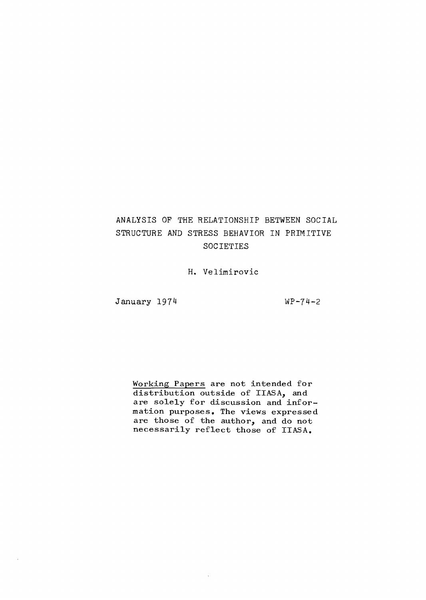# ANALYSIS OF THE RELATIONSHIP BETWEEN SOCIAL STRUCTURE AND STRESS BEHAVIOR IN PRIMITIVE **SOCIETIES**

H. Ve1imirovic

January 1974 WP-74-2

Working Papers are not intended for distribution outside of IIASA, and are solely for discussion and information purposes. The views expressed are those of the author, and do not necessarily reflect those of IIASA.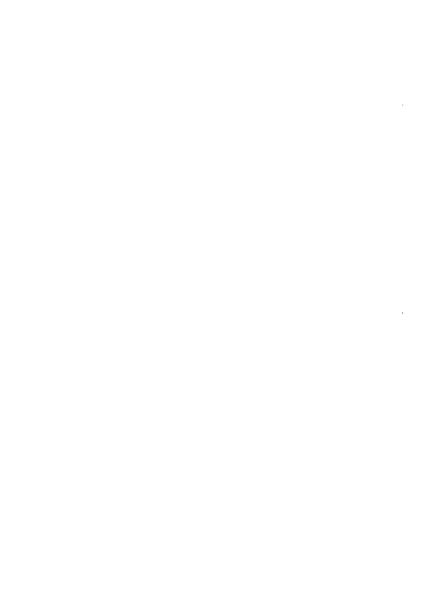$\epsilon$  $\star$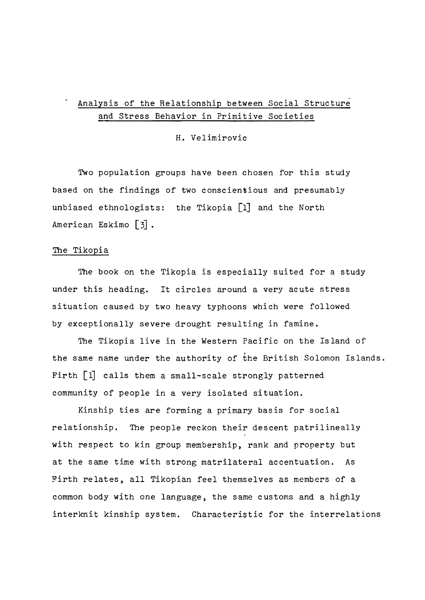## Analysis of the Relationship between Social Structure and Stress Behavior in Primitive Societies

**H.** Velimirovic

Two population groups have been chosen for this study based on the findings of two conscientious and presumably unbiased ethnologists: the Tikopia **[lJ** and the North American Eskimo  $\lceil 3 \rceil$ .

## The Tikopia

The book on the Tikopia is especially suited for a study under this heading. It circles around <sup>a</sup> very acute stress situation caused by two heavy typhoons which were followed by exceptionally severe drought resulting in famine.

The Tikopia live in the Western Pacific on the Island of the same name under the authority of the British Solomon Islands. Firth  $[1]$  calls them a small-scale strongly patterned community of people in a very isolated situation.

Kinship ties are forming a primary basis for social relationship. The people reckon their descent patrilineally with respect to kin group membership, rank and property but at the same time with strong matrilateral accentuation. As Firth relates, all Tikopian feel themselves as members of <sup>a</sup> common body with one language, the same customs and a highly interknit kinship system. Characteristic for the interrelations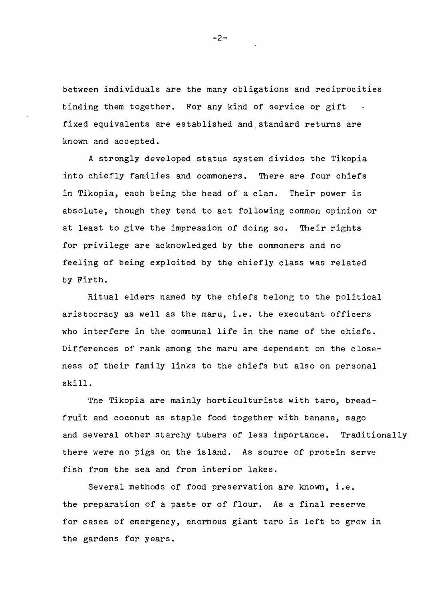between individuals are the many obligations and reciprocities binding them together. For any kind of service or gift fixed equivalents are established and. standard returns are known and accepted.

A strongly developed status system divides the Tikopia into chiefly families and commoners. There are four chiefs in Tikopia, each being the head of a clan. Their power is absolute, though they tend to act following common opinion or at least to give the impression of doing so. Their rights for privilege are acknowledged by the commoners and no feeling of being exploited by the chiefly class was related by Firth.

Ritual elders named by the chiefs belong to the political aristocracy as well as the maru, i.e. the executant officers who interfere in the communal life in the name of the chiefs. Differences of rank among the maru are dependent on the closeness of their family links to the chiefs but also on personal skill.

The Tikopia are mainly horticulturists with taro, breadfruit and coconut as staple food together with banana, sago and several other starchy tubers of less importance. Traditionally there were no pigs on the island. As source of protein serve fish from the sea and from interior lakes.

Several methods of food preservation are known, i.e. the preparation of a paste or of flour. As a final reserve for cases of emergency, enormous giant taro is left to grow in the gardens for years.

-2-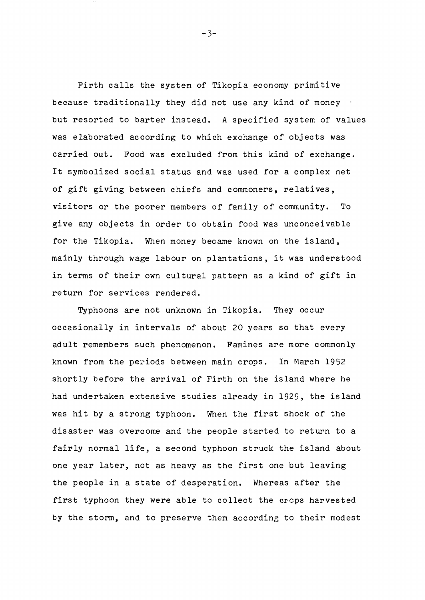Firth calls the system of Tikopia economy primitive because traditionally they did not use any kind of money but resorted to barter instead. A specified system of values was elaborated according to which exchange of objects was carried out. Food was excluded from this kind of exchange. It symbolized social status and was used for <sup>a</sup> complex net of gift giving between chiefs and commoners, relatives, visitors or the poorer members of family of community. To give any objects in order to obtain food was unconceivable for the Tikopia. When money became known on the island, mainly through wage labour on plantations, it was understood in terms of their own cultural pattern as <sup>a</sup> kind of gift in return for services rendered.

Typhoons are not unknown in Tikopia. They occur occasionally in intervals of about 20 years so that every adult remembers such phenomenon. Famines are more commonly known from the periods between main crops. In March 1952 shortly before the arrival of Firth on the island where he had undertaken extensive studies already in 1929, the island was hit by <sup>a</sup> strong typhoon. When the first shock of the disaster was overcome and the people started to return to a fairly normal life, <sup>a</sup> second typhoon struck the island about one year later, not as heavy as the first one but leaving the people in a state of desperation. Whereas after the first typhoon they were able to collect the crops harvested by the storm, and to preserve them according to their modest

 $-3-$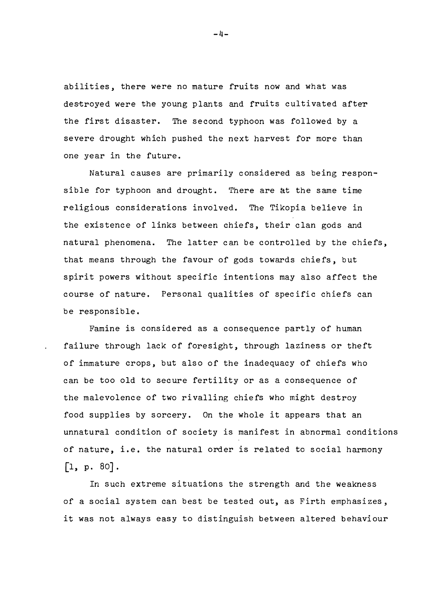abilities, there were no mature fruits now and what was destroyed were the young plants and fruits cultivated after the first disaster. The second typhoon was followed by a severe drought which pushed the next harvest for more than one year in the future.

Natural causes are primarily considered as being responsible for typhoon and drought. There are at the same time religious considerations involved. The Tikopia believe in the existence of links between chiefs, their clan gods and natural phenomena. The latter can be controlled by the chiefs, that means through the favour of gods towards chiefs, but spirit powers without specific intentions may also affect the course of nature. Personal qualities of specific chiefs can be responsible.

Famine is considered as a consequence partly of human failure through lack of foresight, through laziness or theft of immature crops, but also of the inadequacy of chiefs who can be too old to secure fertility or as <sup>a</sup> consequence of the malevolence of two rivalling chiefs who might destroy food supplies by sorcery. On the whole it appears that an unnatural condition of society is manifest in abnormal conditions of nature, i.e. the natural order is related to social harmony  $[1, p. 80].$ 

In such extreme situations the strength and the weakness of a social system can best be tested out, as Firth emphasizes, it was not always easy to distinguish between altered behaviour

**-4-**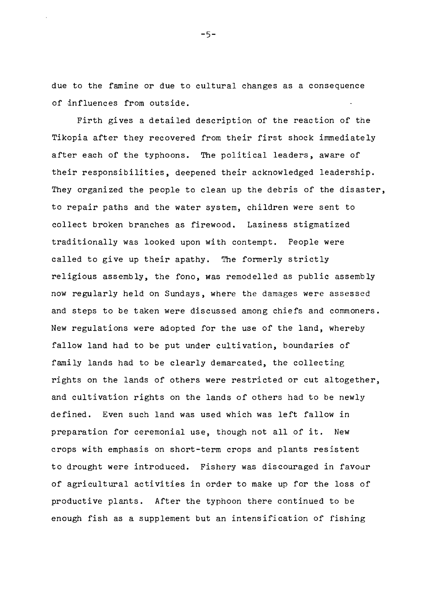due to the famine or due to cultural changes as a consequence of influences from outside.

Firth gives a detailed description of the reaction of the Tikopia after they recovered from their first shock immediately after each of the typhoons. The political leaders, aware of their responsibilities, deepened their acknowledged leadership. They organized the people to clean up the debris of the disaster, to repair paths and the water system, children were sent to collect broken branches as firewood. Laziness stigmatized traditionally was looked upon with contempt. People were called to give up their apathy. The formerly strictly religious assembly, the fono, was remodelled as public assembly now regularly held on Sundays, where the damages were assessed and steps to be taken were discussed among chiefs and commoners. New regulations were adopted for the use of the land, whereby fallow land had to be put under cultivation, boundaries of family lands had to be clearly demarcated, the collecting rights on the lands of others were restricted or cut altogether, and cultivation rights on the lands of others had to be newly defined. Even such land was used which was left fallow in preparation for ceremonial use, though not all of it. New crops with emphasis on short-term crops and plants resistent to drought were introduced. Fishery was discouraged in favour of agricultural activities in order to make up for the loss of productive plants. After the typhoon there continued to be enough fish as a supplement but an intensification of fishing

**-5-**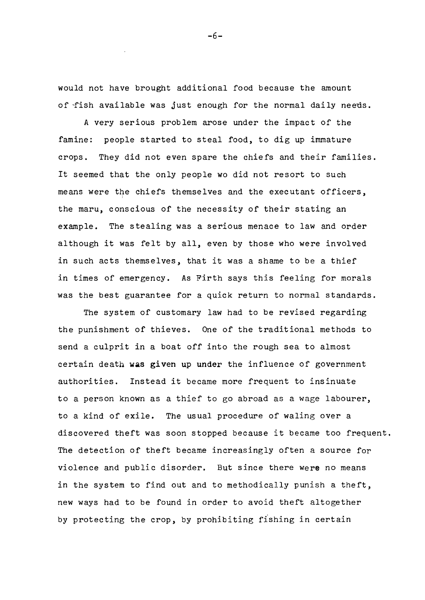would not have brought additional food because the amount of fish available was just enough for the normal daily needs.

A very serious problem arose under the impact of the famine: people started to steal food, to dig up immature crops. They did not even spare the chiefs and their families. It seemed that the only people wo did not resort to such means were the chiefs themselves and the executant Officers, the maru, conscious of the necessity of their stating an example. The stealing was a serious menace to law and order although it was felt by all, even by those who were involved in such acts themselves, that it was <sup>a</sup> shame to be <sup>a</sup> thief in times of emergency. As Firth says this feeling for morals was the best guarantee for a quick return to normal standards.

The system of customary law had to be revised regarding the punishment of thieves. One of the traditional methods to send a culprit in a boat off into the rough sea to almost certain death was given up under the influence of government authorities. Instead it became more frequent to insinuate to a person known as a thief to go abroad as a wage labourer, to a kind of exile. The usual procedure of waling over a discovered theft was soon stopped because it became too frequent. The detection of theft became increasingly often a source for violence and public disorder. But since there were no means in the system to find out and to methodically punish a theft, new ways had to be found in order to avoid theft altogether by protecting the crop, by prohibiting fishing in certain

-6-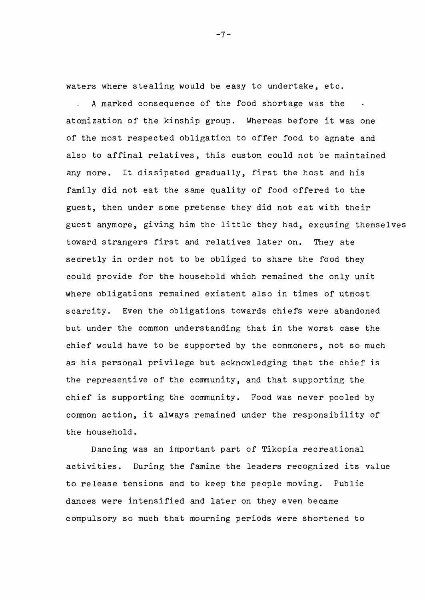waters where stealing would be easy to undertake, etc.

A marked consequence of the food shortage was the atomization of the kinship group. Whereas before it was one of the most respected obligation to offer food to agnate and also to affinal relatives, this custom could not be maintained any more. It dissipated gradually, first the host and his family did not eat the same quality of food offered to the guest, then under some pretense they did not eat with their guest anymore, giving him the little they had, excusing themselves toward strangers first and relatives later on. They ate secretly in order not to be obliged to share the food they could provide for the household which remained the only unit where obligations remained existent also in times of utmost scarcity. Even the obligations towards chiefs were abandoned but under the common understanding that in the worst case the chief would have to be supported by the commoners, not so much as his personal privilege but acknowledging that the chief is the representive of the community, and that supporting the chief is supporting the community. Food was never pooled by common action, it always remained under the responsibility of the household.

Dancing was an important part of Tikopia recreational activities. During the famine the leaders recognized its Value to release tensions and to keep the people moving. Public dances were intensified and later on they even became compulsory so much that mourning periods were shortened to

**-7-**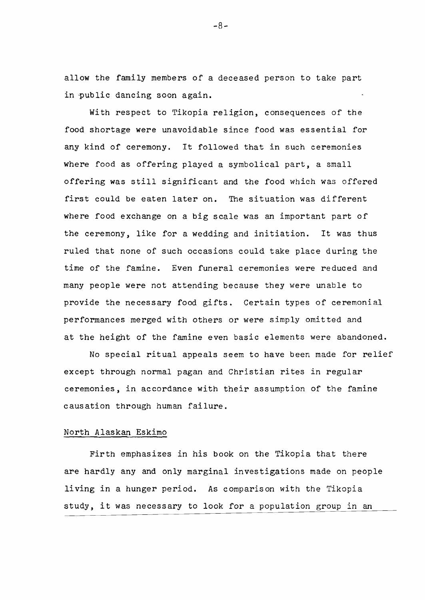allow the family members of a deceased person to take part in public dancing soon again.

With respect to Tikopia religion, consequences of the food shortage were unavoidable since food was essential for any kind of ceremony. It followed that in such ceremonies where food as offering played a symbolical part, a small offering was still significant and the food Which was offered first could be eaten later on. The situation was different where food exchange on a big scale was an important part of the ceremony, like for <sup>a</sup> wedding and initiation. It was thus ruled that none of such occasions could take place during the time of the famine. Even funeral ceremonies were reduced and many people were not attending because they were unable to provide the necessary food gifts. Certain types of ceremonial performances merged with others or were simply omitted and at the height of the famine even basic elements were abandoned.

No special ritual appeals seem to have been made for relief except through normal pagan and Christian rites in regular ceremonies, in accordance with their assumption of the famine causation through human failure.

#### North Alaskan Eskimo

Firth emphasizes in his book on the Tikopia that there are hardly any and only marginal investigations made on people living in a hunger period. As comparison with the Tikopia study, it was necessary to look for <sup>a</sup> population group in an

-8-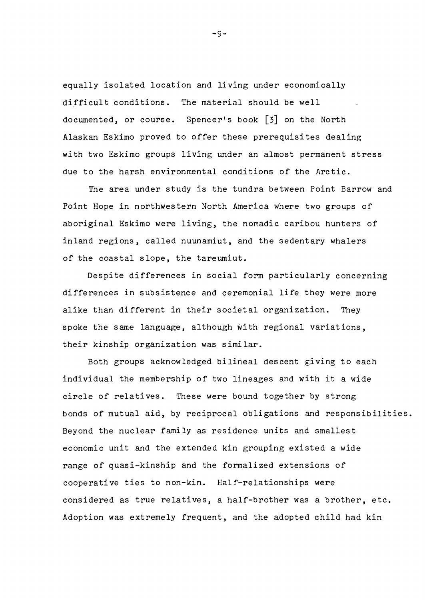equally isolated location and living under economically difficult conditions. The material should be well documented, or course. Spencer's book [3] on the North Alaskan Eskimo proved to offer these prerequisites dealing with two Eskimo groups living under an almost permanent stress due to the harsh environmental conditions of the Arctic.

The area under study is the tundra between Point Barrow and Point Hope in northwestern North America where two groups of aboriginal Eskimo were living, the nomadic caribou hunters of inland regions, called nuunamiut, and the sedentary whalers of the coastal slope, the tareumiut.

Despite differences in social form particularly concerning differences in subsistence and ceremonial life they were more alike than different in their societal organization. They spoke the same language, although with regional variations, their kinship organization was similar.

Both groups acknowledged bilineal descent giving to each individual the membership of two lineages and with it <sup>a</sup> wide circle of relatives. These were bound together by strong bonds of mutual aid, by reciprocal obligations and responsibilities. Beyond the nuclear family as residence units and smallest economic unit and the extended kin grouping existed a wide range of quasi-kinship and the formalized extensions of cooperative ties to non-kin. Half-relationships were considered as true relatives, a half-brother was a brother, etc. Adoption was extremely frequent, and the adopted child had kin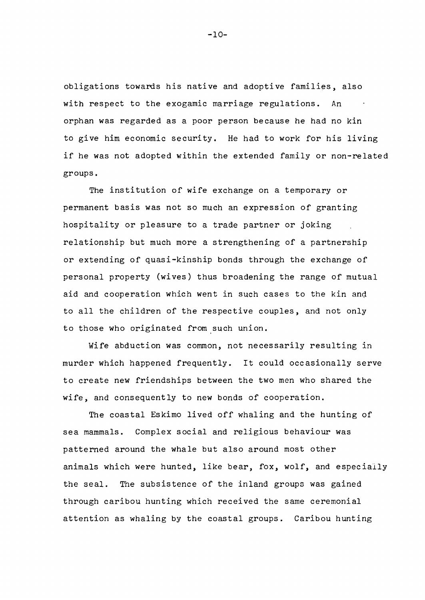obligations towards his native and adoptive families, also with respect to the exogamic marriage regulations. An orphan was regarded as a poor person because he had no kin to give him economic security. He had to work for his living if he was not adopted within the extended family or non-related groups.

The institution of wife exchange on a temporary or permanent basis was not so much an expression of granting hospitality or pleasure to a trade partner or joking relationship but much more a strengthening of a partnership or extending of quasi-kinship bonds through the exchange of personal property (wives) thus broadening the range of mutual aid and cooperation which went in such cases to the kin and to all the children of the respective couples, and not only to those who originated from such union.

Wife abduction was common, not necessarily resulting in murder which happened frequently. It could occasionally serve to create new friendships between the two men who shared the wife, and consequently to new bonds of cooperation.

The coastal Eskimo lived off whaling and the hunting of sea mammals. Complex social and religious behaviour was patterned around the whale but also around most other animals which were hunted, like bear, fox, wolf, and especially the seal. The subsistence of the inland groups was gained through caribou hunting which received the same ceremonial attention as whaling by the coastal groups. Caribou hunting

 $-10-$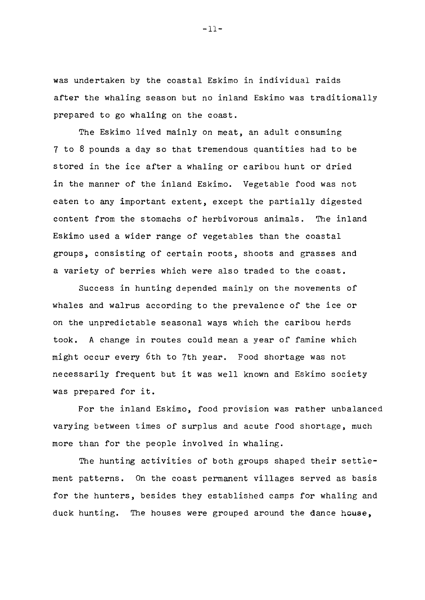was undertaken by the coastal Eskimo in individual raids after the whaling season but no inland Eskimo was traditionally prepared to go whaling on the coast.

The Eskimo lived mainly on meat, an adult consuming 7 to 8 pounds a day so that tremendous quantities had to be stored in the ice after a whaling or caribou hunt or dried in the manner of the inland Eskimo. Vegetable food was not eaten to any important extent, except the partially digested content from the stomachs of herbivorous animals. The inland Eskimo used a wider range of vegetables than the coastal groups, consisting of certain roots, shoots and grasses and a variety of berries which were also traded to the coast.

Success in hunting depended mainly on the movements of whales and walrus according to the prevalence of the ice or on the unpredictable seasonal ways which the caribou herds took. A change in routes could mean a year of famine which might occur every 6th to 7th year. Food shortage was not necessarily frequent but it was well known and Eskimo society was prepared for it.

For the inland Eskimo, food provision was rather unbalanced varying between times of surplus and acute food shortage, much more than for the people involved in whaling.

The hunting activities of both groups shaped their settlement patterns. On the coast permanent villages served as basis for the hunters, besides they established camps for whaling and duck hunting. The houses were grouped around the dance house,

-11-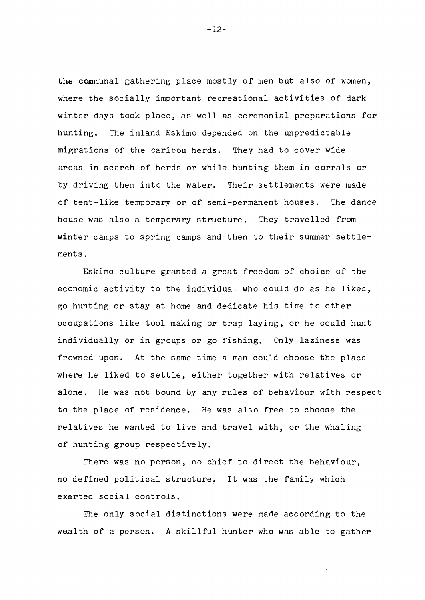**the** communal gathering place mostly of men but also of women, where the socially important recreational activities of dark winter days took place, as well as ceremonial preparations for hunting. The inland Eskimo depended on the unpredictable migrations of the caribou herds. They had to cover wide areas in search of herds or while hunting them in corrals or by driving them into the water. Their settlements were made of tent-like temporary or of semi-permanent houses. The dance house was also a temporary structure. They travelled from winter camps to spring camps and then to their summer settlements.

Eskimo culture granted a great freedom of choice of the economic activity to the individual who could do as he liked, go hunting or stay at home and dedicate his time to other occupations like tool making or trap laying, or he could hunt individually or in groups or go fishing. Only laziness was frowned upon. At the same time a man could choose the place where he liked to settle, either together with relatives or alone. He was not bound by any rules of behaviour with respect to the place of residence. He was also free to choose the relatives he wanted to live and travel with, or the whaling of hunting group respectively.

There was no person, no chief to direct the behaviour, no defined political structure. It was the family which exerted social controls.

The only social distinctions were made according to the wealth of a person. A skillful hunter who was able to gather

 $-12-$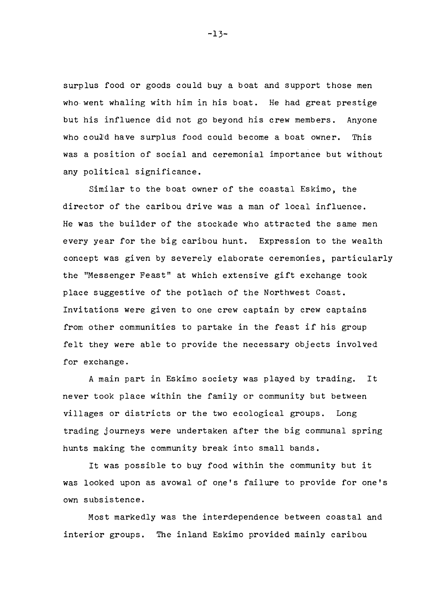surplus food or goods could buy a boat and support those men who went whaling with him in his boat. He had great prestige but his influence did not go beyond his crew members. Anyone who could have surplus food could become a boat owner. This was a position of social and ceremonial importance but without any political significance.

Similar to the boat owner of the coastal Eskimo, the director of the caribou drive was a man of local influence. He was the builder of the stockade who attracted the same men every year for the big caribou hunt. Expression to the wealth concept was given by severely elaborate ceremonies, particularly the "Messenger Feast" at which extensive gift exchange took place suggestive of the potlach of the Northwest Coast. Invitations were given to one crew captain by crew captains from other communities to partake in the feast if his group felt they were able to provide the necessary objects involved for exchange.

<sup>A</sup> main part in Eskimo society was played by trading. It never took place within the family or community but between villages or districts or the two ecological groups. Long trading journeys were undertaken after the big communal spring hunts making the community break into small bands.

It was possible to buy food within the community but it was looked upon as avowal of one's failure to provide for one's own sUbsistence.

Most markedly was the interdependence between coastal and interior groups. The inland Eskimo provided mainly caribou

-13-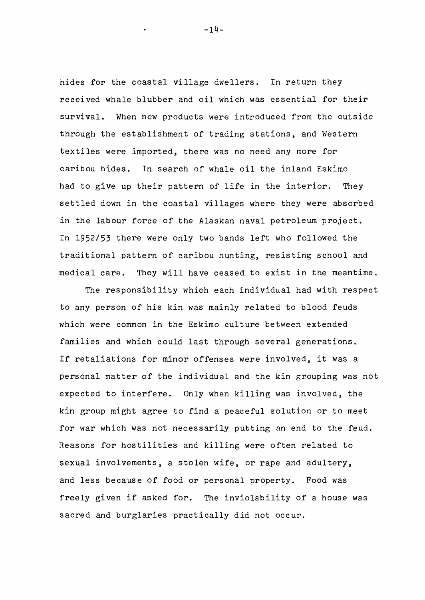hides for the coastal village dwellers. In return they received whale blubber and oil which was essential for their survival. When new products were introduced from the outside through the establishment of trading stations, and Western textiles were imported, there was no need any more for caribou hides. In search of whale oil the inland Eskimo had to give up their pattern of life in the interior. They settled down in the coastal villages where they were absorbed in the labour force of the Alaskan naval petroleum project. In 1952/53 there were only two bands left who followed the traditional pattern of caribou hunting, resisting school and medical care. They will have ceased to exist in the meantime.

The responsibility which each individual had with respect to any person of his kin was mainly related to blood feuds which were common in the Eskimo culture between extended families and which could last through several generations. If retaliations for minor offenses were involved, it was <sup>a</sup> personal matter of the individual and the kin grouping was not expected to interfere. Only when killing was involved, the kin group might agree to find a peaceful solution or to meet for war which was not necessarily putting an end to the feud. Reasons for hostilities and killing were often related to sexual involvements, a stolen wife, or rape and adultery, and less because of food or personal property. Food was freely given if asked for. The inviolability of <sup>a</sup> house was sacred and burglaries practically did not occur.

~14-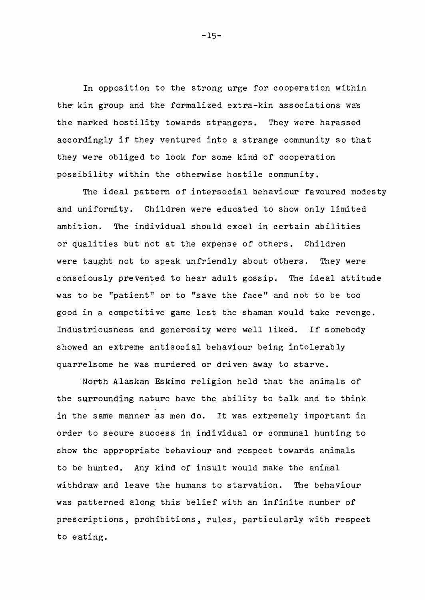In opposition to the strong urge for cooperation within the kin group and the formalized extra-kin associations was the marked hostility towards strangers. They were harassed accordingly if they ventured into <sup>a</sup> strange community so that they were obliged to look for some kind of cooperation possibility within the otherwise hostile community.

The ideal pattern of intersocial behaviour favoured modesty and uniformity. Children were educated to show only limited ambition. The individual should excel in certain abilities or qualities but not at the expense of others. Children were taught not to speak unfriendly about others. They were consciously prevented to hear adult gossip. The ideal attitude was to be "patient" or to "save the face" and not to be too good in a competitive game lest the shaman would take revenge. Industriousness and generosity were well liked. If somebody showed an extreme antisocial behaviour being intolerably quarrelsome he was murdered or driven away to starve.

North Alaskan Eskimo religion held that the animals of the surrounding nature have the ability to talk and to think in the same manner as men do. It was extremely important in order to secure success in individual or communal hunting to show the appropriate behaviour and respect towards animals to be hunted. Any kind of insult would make the animal withdraw and leave the humans to starvation. The behaviour was patterned along this belief with an infinite number of prescriptions, prohibitions, rules, particularly with respect to eating.

-15-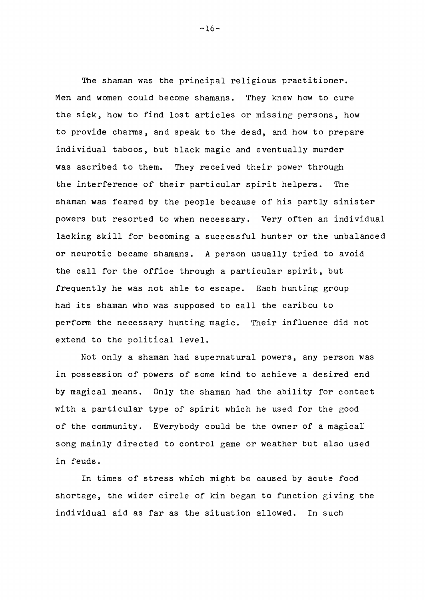The shaman was the principal religious practitioner. Men and women could become shamans. They knew how to cure the sick, how to find lost articles or missing persons, how to provide charms, and speak to the dead, and how to prepare individual taboos, but black magic and eventually murder was ascribed to them. They received their power through the interference of their particular spirit helpers. The shaman was feared by the people because of his partly sinister powers but resorted to when necessary. Very often an individual lacking skill for becoming <sup>a</sup> successful hunter or the unbalanced or neurotic became shamans. A person usually tried to avoid the call for the office through <sup>a</sup> particular spirit, but frequently he was not able to escape. Each hunting group had its shaman who was supposed to call the caribou to perform the necessary hunting magic. Their influence did not extend to the political level.

Not only a shaman had supernatural powers, any person was in possession of powers of some kind to achieve a desired end by magical means. Only the shaman had the ability for contact with a particular type of spirit which he used for the good of the community. Everybody could be the owner of a magical song mainly directed to control game or weather but also used in feuds.

In times of stress which might be caused by acute food shortage, the wider circle of kin began to function giving the individual aid as far as the situation allowed. In such

-16-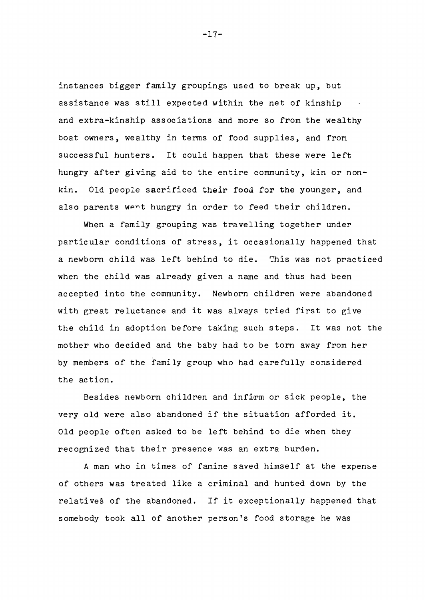instances bigger family groupings used to break up, but assistance was still expected within the net of kinship and extra-kinship associations and more so from the wealthy boat owners, wealthy in terms of food supplies, and from successful hunters. It could happen that these were left hungry after giving aid to the entire community, kin or nonkin. Old people sacrificed their food for the younger, and also parents went hungry in order to feed their children.

When a family grouping was travelling together under particular conditions of stress, it occasionally happened that a newborn child was left behind to die. This was not practiced when the child was already given a name and thus had been accepted into the community. Newborn children were abandoned with great reluctance and it was always tried first to give the child in adoption before taking such steps. It was not the mother who decided and the baby had to be torn away from her by members of the family group who had carefully considered the action.

Besides newborn children and infirm or sick people, the very old were also abandoned if the situation afforded it. Old people often asked to be left behind to die when they recognized that their presence was an extra burden.

A man who in times of famine saved himself at the expense of others was treated like a criminal and hunted down by the relatives of the abandoned. If it exceptionally happened that somebody took all of another person's food storage he was

-17-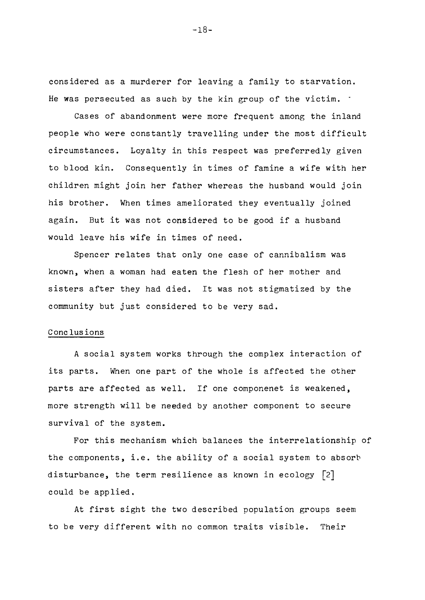considered as a murderer for leaving a family to starvation. He was persecuted as such by the kin group of the victim.

Cases of abandonment were more frequent among the inland people who were constantly travelling under the most difficult circumstances. Loyalty in this respect was preferredly given to blood kin. Consequently in times of famine a wife with her children might join her father whereas the husband would join his brother. When times ameliorated they eventually joined again. But it was not considered to be good if <sup>a</sup> husband would leave his wife in times of need.

Spencer relates that only one case of cannibalism was known, when a woman had eaten the flesh of her mother and sisters after they had died. It was not stigmatized by the community but just considered to be very sad.

## Conclusions

A social system works through the complex interaction of its parts. When one part of the whole is affected the other parts are affected as well. If one componenet is weakened, more strength will be needed by another component to secure survival of the system.

For this mechanism which balances the interrelationship of the components, i.e. the ability of <sup>a</sup> social system to absorb disturbance, the term resilience as known in ecology [2] could be applied.

At first sight the two described population groups seem to be very different with no common traits visible. Their

-18-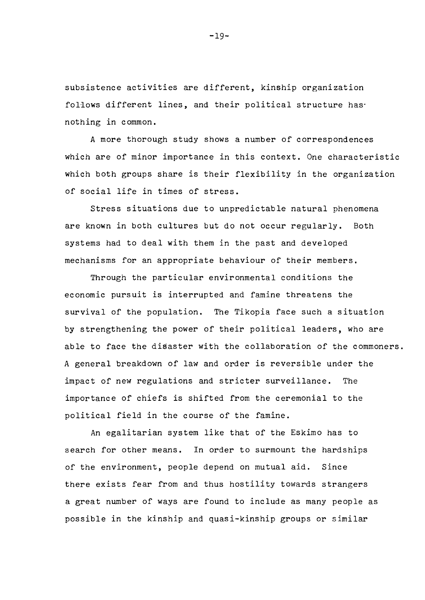subsistence activities are different, kinship organization follows different lines, and their political structure has· nothing in common.

A more thorough study shows a number of correspondences which are of minor importance in this context. One characteristic which both groups share is their flexibility in the organization of social life in times of stress.

Stress situations due to unpredictable natural phenomena are known in both cultures but do not occur regularly. Both systems had to deal with them in the past and developed mechanisms for an appropriate behaviour of their members.

Through the particular environmental conditions the economic pursuit is interrupted and famine threatens the survival of the population. The Tikopia face such a situation by strengthening the power of their political leaders, who are able to face the disaster with the collaboration of the commoners. A general breakdown of law and order is reversible under the impact of new regulations and stricter surveillance. The importance of chiefs is shifted from the ceremonial to the political field in the course of the famine.

An egalitarian system like that of the Eskimo has to search for other means. In order to surmount the hardships of the environment, people depend on mutual aid. Since there exists fear from and thus hostility towards strangers a great number of ways are found to include as many people as possible in the kinship and quasi-kinship groups or similar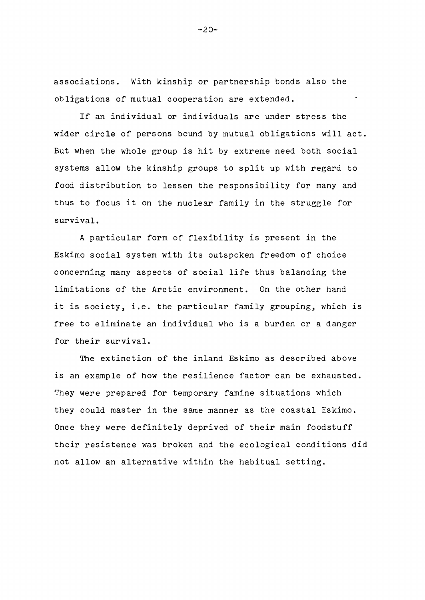associations. With kinship or partnership bonds also the obligations of mutual cooperation are extended.

If an individual or individuals are under stress the wider circle of persons bound by mutual obligations will act. But when the whole group is hit by extreme need both social systems allow the kinship groups to split up with regard to food distribution to lessen the responsibility for many and thus to focus it on the nuclear family in the struggle for survival.

A particular form of flexibility is present in the Eskimo social system with its outspoken freedom of choice concerning many aspects of social life thus balancing the limitations of the Arctic environment. On the other hand it is society, i.e. the particular family grouping, which is free to eliminate an individual who is a burden or a danger for their survival.

The extinction of the inland Eskimo as described above is an example of how the resilience factor can be exhausted. They were prepared for temporary famine situations which they could master in the same manner as the coastal Eskimo. Once they were definitely deprived of their main foodstuff their resistence was broken and the ecological conditions did not allow an alternative within the habitual setting.

 $-20-$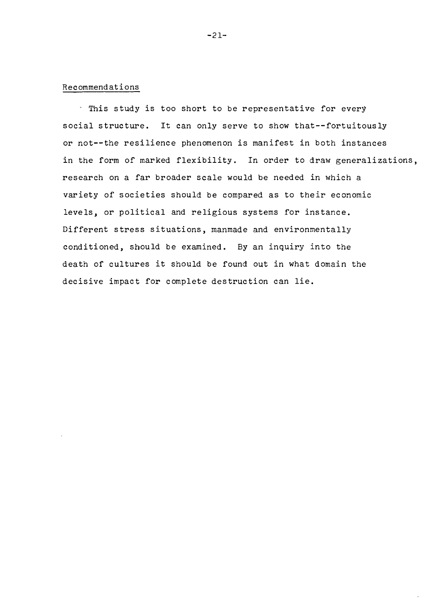## Recommendations

" This study is too short to be representative for every social structure. It can only serve to show that--fortuitously or not--the resilience phenomenon is manifest in both instances in the form of marked flexibility. In order to draw generalizations, research on a far broader scale would be needed in which a variety of societies should be compared as to their economic levels, or political and religious systems for instance. Different stress situations, manmade and environmentally conditioned, should be examined. By an inquiry into the death of cultures it should be found out in what domain the decisive impact for complete destruction can lie.